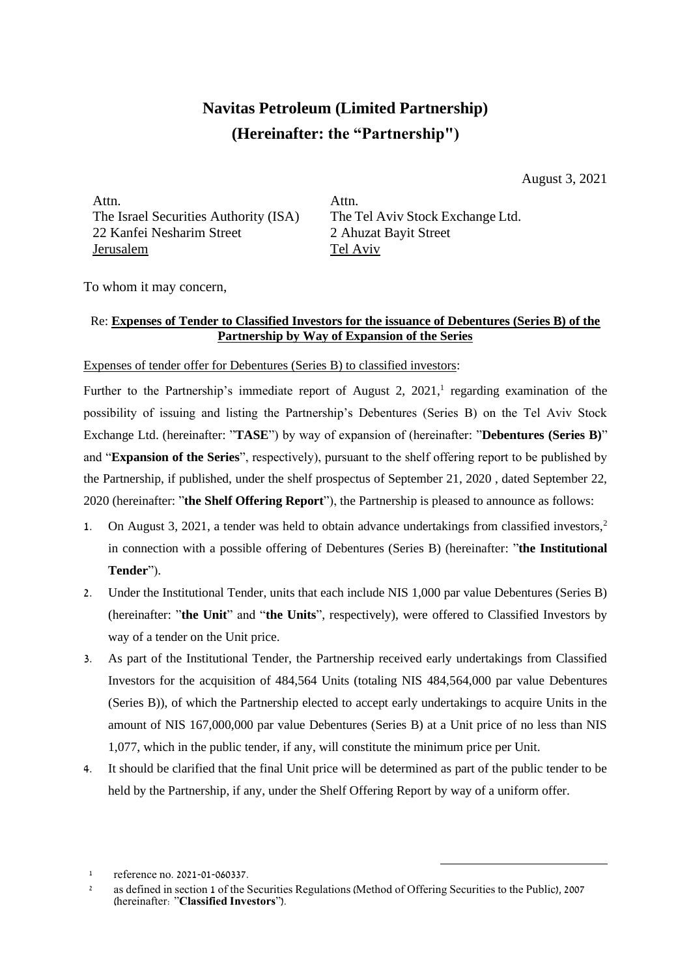## **Navitas Petroleum (Limited Partnership) (Hereinafter: the "Partnership")**

August 3, 2021

Attn. The Israel Securities Authority (ISA) 22 Kanfei Nesharim Street Jerusalem

Attn. The Tel Aviv Stock Exchange Ltd. 2 Ahuzat Bayit Street Tel Aviv

To whom it may concern,

## Re: **Expenses of Tender to Classified Investors for the issuance of Debentures (Series B) of the Partnership by Way of Expansion of the Series**

Expenses of tender offer for Debentures (Series B) to classified investors:

Further to the Partnership's immediate report of August 2,  $2021$ ,<sup>1</sup> regarding examination of the possibility of issuing and listing the Partnership's Debentures (Series B) on the Tel Aviv Stock Exchange Ltd. (hereinafter: "**TASE**") by way of expansion of (hereinafter: "**Debentures (Series B)**" and "**Expansion of the Series**", respectively), pursuant to the shelf offering report to be published by the Partnership, if published, under the shelf prospectus of September 21, 2020 , dated September 22, 2020 (hereinafter: "**the Shelf Offering Report**"), the Partnership is pleased to announce as follows:

- 1. On August 3, 2021, a tender was held to obtain advance undertakings from classified investors,<sup>2</sup> in connection with a possible offering of Debentures (Series B) (hereinafter: "**the Institutional Tender**").
- 2. Under the Institutional Tender, units that each include NIS 1,000 par value Debentures (Series B) (hereinafter: "**the Unit**" and "**the Units**", respectively), were offered to Classified Investors by way of a tender on the Unit price.
- 3. As part of the Institutional Tender, the Partnership received early undertakings from Classified Investors for the acquisition of 484,564 Units (totaling NIS 484,564,000 par value Debentures (Series B)), of which the Partnership elected to accept early undertakings to acquire Units in the amount of NIS 167,000,000 par value Debentures (Series B) at a Unit price of no less than NIS 1,077, which in the public tender, if any, will constitute the minimum price per Unit.
- 4. It should be clarified that the final Unit price will be determined as part of the public tender to be held by the Partnership, if any, under the Shelf Offering Report by way of a uniform offer.

<sup>1</sup> reference no. 2021-01-060337.

<sup>&</sup>lt;sup>2</sup> as defined in section 1 of the Securities Regulations (Method of Offering Securities to the Public), 2007 (hereinafter: "**Classified Investors**").